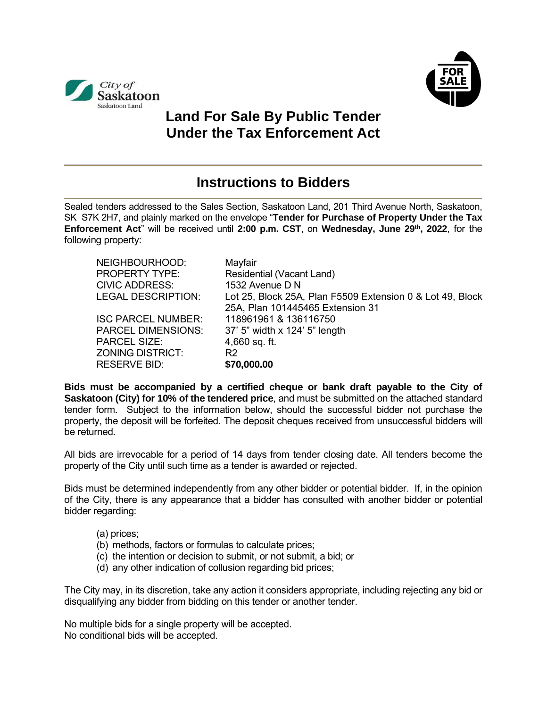



## **Land For Sale By Public Tender Under the Tax Enforcement Act**

## **Instructions to Bidders**

Sealed tenders addressed to the Sales Section, Saskatoon Land, 201 Third Avenue North, Saskatoon, SK S7K 2H7, and plainly marked on the envelope "**Tender for Purchase of Property Under the Tax Enforcement Act**" will be received until **2:00 p.m. CST**, on **Wednesday, June 29th , 2022**, for the following property:

| Mayfair                                                   |
|-----------------------------------------------------------|
| Residential (Vacant Land)                                 |
| 1532 Avenue D N                                           |
| Lot 25, Block 25A, Plan F5509 Extension 0 & Lot 49, Block |
| 25A, Plan 101445465 Extension 31                          |
| 118961961 & 136116750                                     |
| 37' 5" width x 124' 5" length                             |
| $4,660$ sq. ft.                                           |
| R <sub>2</sub>                                            |
| \$70,000.00                                               |
|                                                           |

**Bids must be accompanied by a certified cheque or bank draft payable to the City of Saskatoon (City) for 10% of the tendered price**, and must be submitted on the attached standard tender form. Subject to the information below, should the successful bidder not purchase the property, the deposit will be forfeited. The deposit cheques received from unsuccessful bidders will be returned.

All bids are irrevocable for a period of 14 days from tender closing date. All tenders become the property of the City until such time as a tender is awarded or rejected.

Bids must be determined independently from any other bidder or potential bidder. If, in the opinion of the City, there is any appearance that a bidder has consulted with another bidder or potential bidder regarding:

- (a) prices;
- (b) methods, factors or formulas to calculate prices;
- (c) the intention or decision to submit, or not submit, a bid; or
- (d) any other indication of collusion regarding bid prices;

The City may, in its discretion, take any action it considers appropriate, including rejecting any bid or disqualifying any bidder from bidding on this tender or another tender.

No multiple bids for a single property will be accepted. No conditional bids will be accepted.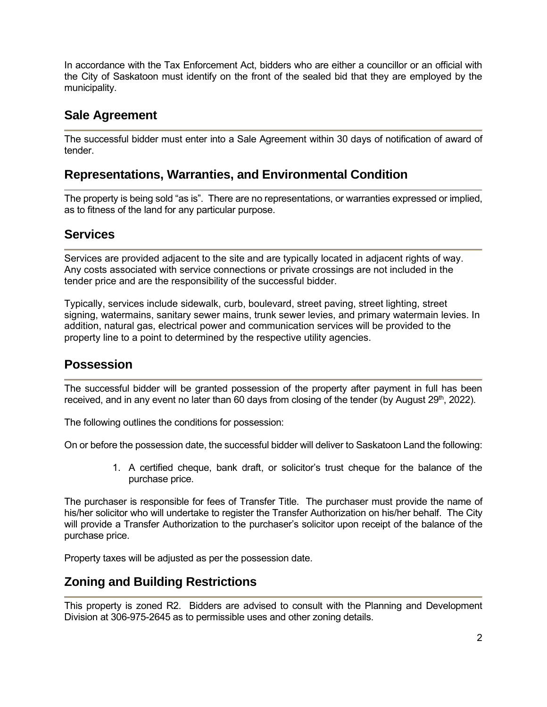In accordance with the Tax Enforcement Act, bidders who are either a councillor or an official with the City of Saskatoon must identify on the front of the sealed bid that they are employed by the municipality.

#### **Sale Agreement**

The successful bidder must enter into a Sale Agreement within 30 days of notification of award of tender.

#### **Representations, Warranties, and Environmental Condition**

The property is being sold "as is". There are no representations, or warranties expressed or implied, as to fitness of the land for any particular purpose.

#### **Services**

Services are provided adjacent to the site and are typically located in adjacent rights of way. Any costs associated with service connections or private crossings are not included in the tender price and are the responsibility of the successful bidder.

Typically, services include sidewalk, curb, boulevard, street paving, street lighting, street signing, watermains, sanitary sewer mains, trunk sewer levies, and primary watermain levies. In addition, natural gas, electrical power and communication services will be provided to the property line to a point to determined by the respective utility agencies.

#### **Possession**

The successful bidder will be granted possession of the property after payment in full has been received, and in any event no later than 60 days from closing of the tender (by August 29<sup>th</sup>, 2022).

The following outlines the conditions for possession:

On or before the possession date, the successful bidder will deliver to Saskatoon Land the following:

1. A certified cheque, bank draft, or solicitor's trust cheque for the balance of the purchase price.

The purchaser is responsible for fees of Transfer Title. The purchaser must provide the name of his/her solicitor who will undertake to register the Transfer Authorization on his/her behalf. The City will provide a Transfer Authorization to the purchaser's solicitor upon receipt of the balance of the purchase price.

Property taxes will be adjusted as per the possession date.

#### **Zoning and Building Restrictions**

This property is zoned R2. Bidders are advised to consult with the Planning and Development Division at 306-975-2645 as to permissible uses and other zoning details.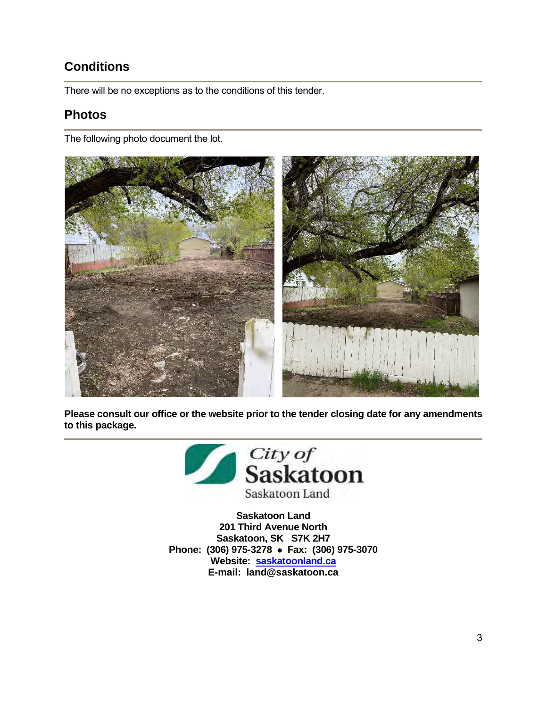### **Conditions**

There will be no exceptions as to the conditions of this tender.

#### **Photos**

The following photo document the lot.



**Please consult our office or the website prior to the tender closing date for any amendments to this package.**



**Saskatoon Land 201 Third Avenue North Saskatoon, SK S7K 2H7 Phone: (306) 975-3278** ⚫ **Fax: (306) 975-3070 Website: saskatoonland.ca E-mail: land@saskatoon.ca**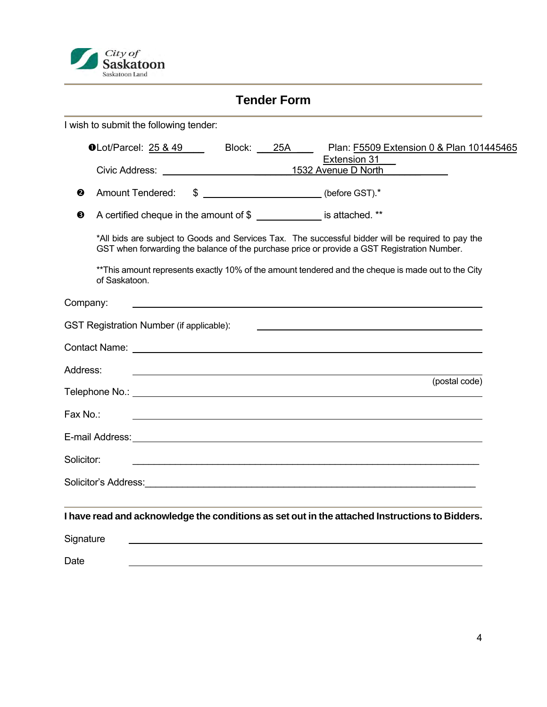

|            |               |                                                 | <b>Tender Form</b> |                                                                                                                                                                                                                                                                                                         |
|------------|---------------|-------------------------------------------------|--------------------|---------------------------------------------------------------------------------------------------------------------------------------------------------------------------------------------------------------------------------------------------------------------------------------------------------|
|            |               | I wish to submit the following tender:          |                    |                                                                                                                                                                                                                                                                                                         |
|            |               | $\bullet$ Lot/Parcel: 25 & 49                   | Block: 25A         | Plan: F5509 Extension 0 & Plan 101445465                                                                                                                                                                                                                                                                |
|            |               |                                                 |                    | Extension 31                                                                                                                                                                                                                                                                                            |
| ❷          |               | <b>Amount Tendered:</b>                         |                    | \$ _________________________(before GST).*                                                                                                                                                                                                                                                              |
| ❸          |               |                                                 |                    | A certified cheque in the amount of \$ _______________ is attached. **                                                                                                                                                                                                                                  |
|            | of Saskatoon. |                                                 |                    | *All bids are subject to Goods and Services Tax. The successful bidder will be required to pay the<br>GST when forwarding the balance of the purchase price or provide a GST Registration Number.<br>**This amount represents exactly 10% of the amount tendered and the cheque is made out to the City |
| Company:   |               |                                                 |                    |                                                                                                                                                                                                                                                                                                         |
|            |               | <b>GST Registration Number (if applicable):</b> |                    |                                                                                                                                                                                                                                                                                                         |
|            |               |                                                 |                    | Contact Name: Letters and the contract of the contract of the contract of the contract of the contract of the contract of the contract of the contract of the contract of the contract of the contract of the contract of the                                                                           |
| Address:   |               |                                                 |                    | and the control of the control of the control of the control of the control of the control of the control of the                                                                                                                                                                                        |
|            |               |                                                 |                    | (postal code)                                                                                                                                                                                                                                                                                           |
| Fax No.:   |               |                                                 |                    | and the control of the control of the control of the control of the control of the control of the control of the                                                                                                                                                                                        |
|            |               |                                                 |                    |                                                                                                                                                                                                                                                                                                         |
| Solicitor: |               |                                                 |                    |                                                                                                                                                                                                                                                                                                         |
|            |               |                                                 |                    |                                                                                                                                                                                                                                                                                                         |
|            |               |                                                 |                    | I have read and acknowledge the conditions as set out in the attached Instructions to Bidders.                                                                                                                                                                                                          |
| Signature  |               |                                                 |                    |                                                                                                                                                                                                                                                                                                         |
| Date       |               |                                                 |                    |                                                                                                                                                                                                                                                                                                         |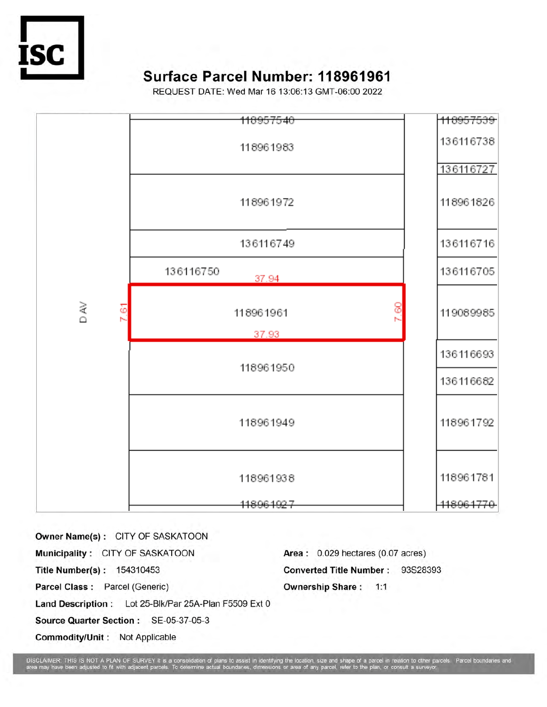

# Surface Parcel Number: 118961961

REQUEST DATE: Wed Mar 16 13:06:13 GMT-06:00 2022



Owner Name(s): CITY OF SASKATOON Municipality: CITY OF SASKATOON Title Number(s): 154310453 Parcel Class: Parcel (Generic) Land Description: Lot 25-Blk/Par 25A-Plan F5509 Ext 0 Source Quarter Section: SE-05-37-05-3 Commodity/Unit: Not Applicable

Area: 0.029 hectares (0.07 acres) Converted Title Number: 93S28393 **Ownership Share: 1:1** 

pe of a parcel in relation to other parcels. Parcel boundaries and<br>r to the plan, or consult a surveyor DISCLAIMER: THIS IS NOT A PLAN OF SURVEY It is a compared may have been adjusted to fit and OF SURVEY It is a compared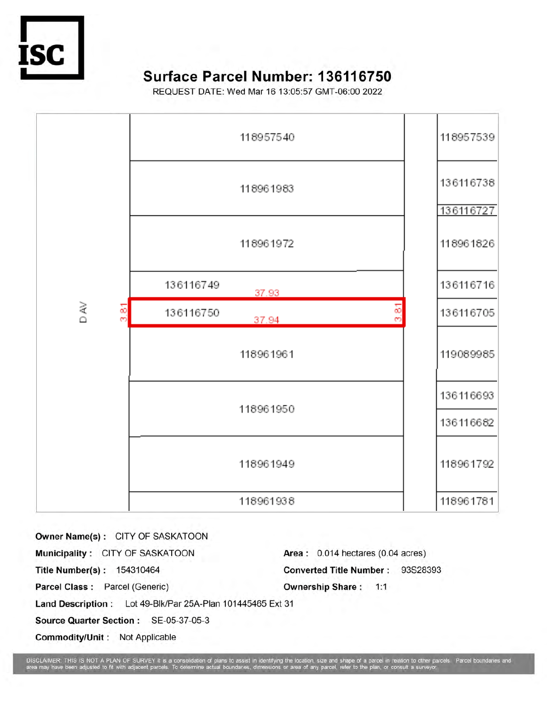

# Surface Parcel Number: 136116750

REQUEST DATE: Wed Mar 16 13:05:57 GMT-06:00 2022



| Owner Name(s): CITY OF SASKATOON                           |                                   |
|------------------------------------------------------------|-----------------------------------|
| Municipality: CITY OF SASKATOON                            | Area: 0.014 hectares (0.04 acres) |
| Title Number(s): 154310464                                 | Converted Title Number: 93S28393  |
| Parcel Class: Parcel (Generic)                             | <b>Ownership Share: 1:1</b>       |
| Land Description: Lot 49-Blk/Par 25A-Plan 101445465 Ext 31 |                                   |
| Source Quarter Section: SE-05-37-05-3                      |                                   |
| Commodity/Unit: Not Applicable                             |                                   |